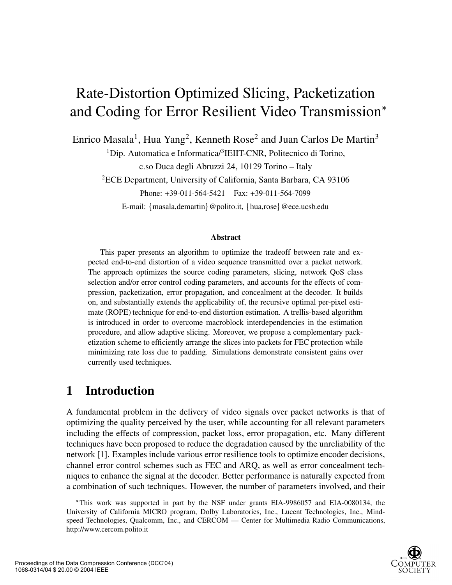# Rate-Distortion Optimized Slicing, Packetization and Coding for Error Resilient Video Transmission

Enrico Masala<sup>1</sup>, Hua Yang<sup>2</sup>, Kenneth Rose<sup>2</sup> and Juan Carlos De Martin<sup>3</sup>

<sup>1</sup>Dip. Automatica e Informatica/ $\frac{3}{2}$ IEIIT-CNR, Politecnico di Torino,

c.so Duca degli Abruzzi 24, 10129 Torino – Italy

2ECE Department, University of California, Santa Barbara, CA 93106

Phone: +39-011-564-5421 Fax: +39-011-564-7099

E-mail: {masala,demartin}@polito.it, {hua,rose}@ece.ucsb.edu

#### **Abstract**

This paper presents an algorithm to optimize the tradeoff between rate and expected end-to-end distortion of a video sequence transmitted over a packet network. The approach optimizes the source coding parameters, slicing, network QoS class selection and/or error control coding parameters, and accounts for the effects of compression, packetization, error propagation, and concealment at the decoder. It builds on, and substantially extends the applicability of, the recursive optimal per-pixel estimate (ROPE) technique for end-to-end distortion estimation. A trellis-based algorithm is introduced in order to overcome macroblock interdependencies in the estimation procedure, and allow adaptive slicing. Moreover, we propose a complementary packetization scheme to efficiently arrange the slices into packets for FEC protection while minimizing rate loss due to padding. Simulations demonstrate consistent gains over currently used techniques.

### **1 Introduction**

A fundamental problem in the delivery of video signals over packet networks is that of optimizing the quality perceived by the user, while accounting for all relevant parameters including the effects of compression, packet loss, error propagation, etc. Many different techniques have been proposed to reduce the degradation caused by the unreliability of the network [1]. Examples include various error resilience tools to optimize encoder decisions, channel error control schemes such as FEC and ARQ, as well as error concealment techniques to enhance the signal at the decoder. Better performance is naturally expected from a combination of such techniques. However, the number of parameters involved, and their

This work was supported in part by the NSF under grants EIA-9986057 and EIA-0080134, the University of California MICRO program, Dolby Laboratories, Inc., Lucent Technologies, Inc., Mindspeed Technologies, Qualcomm, Inc., and CERCOM — Center for Multimedia Radio Communications, http://www.cercom.polito.it

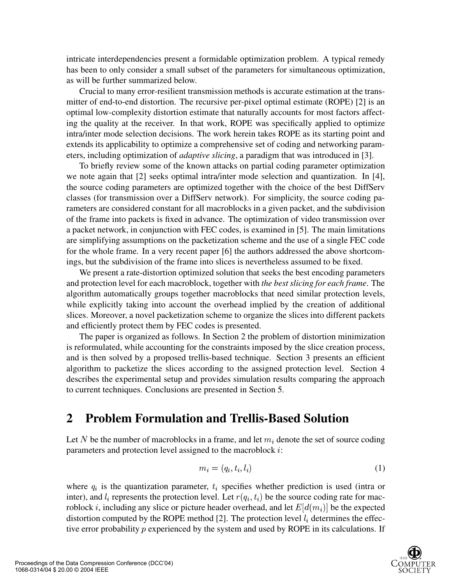intricate interdependencies present a formidable optimization problem. A typical remedy has been to only consider a small subset of the parameters for simultaneous optimization, as will be further summarized below.

Crucial to many error-resilient transmission methods is accurate estimation at the transmitter of end-to-end distortion. The recursive per-pixel optimal estimate (ROPE) [2] is an optimal low-complexity distortion estimate that naturally accounts for most factors affecting the quality at the receiver. In that work, ROPE was specifically applied to optimize intra/inter mode selection decisions. The work herein takes ROPE as its starting point and extends its applicability to optimize a comprehensive set of coding and networking parameters, including optimization of *adaptive slicing*, a paradigm that was introduced in [3].

To briefly review some of the known attacks on partial coding parameter optimization we note again that [2] seeks optimal intra/inter mode selection and quantization. In [4], the source coding parameters are optimized together with the choice of the best DiffServ classes (for transmission over a DiffServ network). For simplicity, the source coding parameters are considered constant for all macroblocks in a given packet, and the subdivision of the frame into packets is fixed in advance. The optimization of video transmission over a packet network, in conjunction with FEC codes, is examined in [5]. The main limitations are simplifying assumptions on the packetization scheme and the use of a single FEC code for the whole frame. In a very recent paper [6] the authors addressed the above shortcomings, but the subdivision of the frame into slices is nevertheless assumed to be fixed.

We present a rate-distortion optimized solution that seeks the best encoding parameters and protection level for each macroblock, together with *the best slicing for each frame*. The algorithm automatically groups together macroblocks that need similar protection levels, while explicitly taking into account the overhead implied by the creation of additional slices. Moreover, a novel packetization scheme to organize the slices into different packets and efficiently protect them by FEC codes is presented.

The paper is organized as follows. In Section 2 the problem of distortion minimization is reformulated, while accounting for the constraints imposed by the slice creation process, and is then solved by a proposed trellis-based technique. Section 3 presents an efficient algorithm to packetize the slices according to the assigned protection level. Section 4 describes the experimental setup and provides simulation results comparing the approach to current techniques. Conclusions are presented in Section 5.

### **2 Problem Formulation and Trellis-Based Solution**

Let N be the number of macroblocks in a frame, and let  $m_i$  denote the set of source coding parameters and protection level assigned to the macroblock  $i$ :

$$
m_i = (q_i, t_i, l_i) \tag{1}
$$

where  $q_i$  is the quantization parameter,  $t_i$  specifies whether prediction is used (intra or inter), and  $l_i$  represents the protection level. Let  $r(q_i, t_i)$  be the source coding rate for macroblock *i*, including any slice or picture header overhead, and let  $E[d(m_i)]$  be the expected distortion computed by the ROPE method [2]. The protection level  $l_i$  determines the effective error probability  $p$  experienced by the system and used by ROPE in its calculations. If

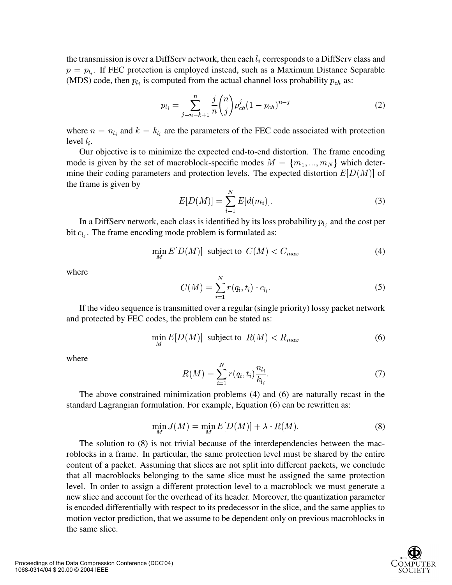the transmission is over a DiffServ network, then each  $l_i$  corresponds to a DiffServ class and  $p = p_{l_i}$ . If FEC protection is employed instead, such as a Maximum Distance Separable (MDS) code, then  $p_{l_i}$  is computed from the actual channel loss probability  $p_{ch}$  as:

$$
p_{l_i} = \sum_{j=n-k+1}^{n} \frac{j}{n} {n \choose j} p_{ch}^j (1 - p_{ch})^{n-j}
$$
 (2)

where  $n = n_{l_i}$  and  $k = k_{l_i}$  are the parameters of the FEC code associated with protection level  $l_i$ .

Our objective is to minimize the expected end-to-end distortion. The frame encoding mode is given by the set of macroblock-specific modes  $M = \{m_1, ..., m_N\}$  which determine their coding parameters and protection levels. The expected distortion  $E[D(M)]$  of the frame is given by

$$
E[D(M)] = \sum_{i=1}^{N} E[d(m_i)].
$$
\n(3)

In a DiffServ network, each class is identified by its loss probability  $p_{l_i}$  and the cost per bit  $c_{l_i}$ . The frame encoding mode problem is formulated as:

$$
\min_{M} E[D(M)] \text{ subject to } C(M) < C_{max} \tag{4}
$$

where

$$
C(M) = \sum_{i=1}^{N} r(q_i, t_i) \cdot c_{l_i}.
$$
\n
$$
(5)
$$

If the video sequence is transmitted over a regular (single priority) lossy packet network and protected by FEC codes, the problem can be stated as:

$$
\min_{M} E[D(M)] \text{ subject to } R(M) < R_{max} \tag{6}
$$

where

$$
R(M) = \sum_{i=1}^{N} r(q_i, t_i) \frac{n_{l_i}}{k_{l_i}}.
$$
 (7)

The above constrained minimization problems (4) and (6) are naturally recast in the standard Lagrangian formulation. For example, Equation (6) can be rewritten as:

$$
\min_{M} J(M) = \min_{M} E[D(M)] + \lambda \cdot R(M). \tag{8}
$$

The solution to (8) is not trivial because of the interdependencies between the macroblocks in a frame. In particular, the same protection level must be shared by the entire content of a packet. Assuming that slices are not split into different packets, we conclude that all macroblocks belonging to the same slice must be assigned the same protection level. In order to assign a different protection level to a macroblock we must generate a new slice and account for the overhead of its header. Moreover, the quantization parameter is encoded differentially with respect to its predecessor in the slice, and the same applies to motion vector prediction, that we assume to be dependent only on previous macroblocks in the same slice.

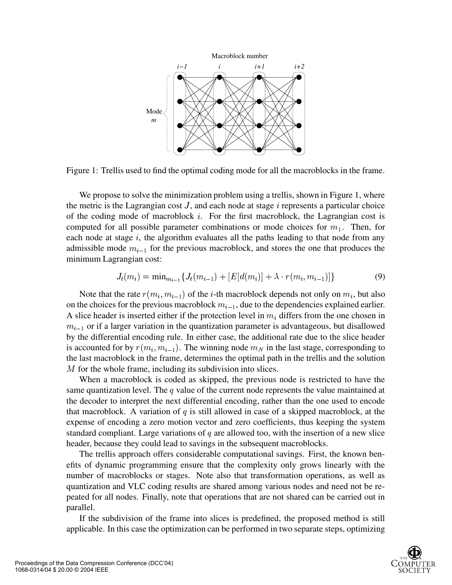

Figure 1: Trellis used to find the optimal coding mode for all the macroblocks in the frame.

We propose to solve the minimization problem using a trellis, shown in Figure 1, where the metric is the Lagrangian cost  $J$ , and each node at stage  $i$  represents a particular choice of the coding mode of macroblock  $i$ . For the first macroblock, the Lagrangian cost is computed for all possible parameter combinations or mode choices for  $m_1$ . Then, for each node at stage  $i$ , the algorithm evaluates all the paths leading to that node from any admissible mode  $m_{i-1}$  for the previous macroblock, and stores the one that produces the minimum Lagrangian cost:

$$
J_t(m_i) = \min_{m_{i-1}} \{ J_t(m_{i-1}) + [E[d(m_i)] + \lambda \cdot r(m_i, m_{i-1})] \}
$$
(9)

Note that the rate  $r(m_i, m_{i-1})$  of the *i*-th macroblock depends not only on  $m_i$ , but also on the choices for the previous macroblock  $m_{i-1}$ , due to the dependencies explained earlier. A slice header is inserted either if the protection level in  $m_i$  differs from the one chosen in  $m_{i-1}$  or if a larger variation in the quantization parameter is advantageous, but disallowed by the differential encoding rule. In either case, the additional rate due to the slice header is accounted for by  $r(m_i, m_{i-1})$ . The winning node  $m_N$  in the last stage, corresponding to the last macroblock in the frame, determines the optimal path in the trellis and the solution  $M$  for the whole frame, including its subdivision into slices.

When a macroblock is coded as skipped, the previous node is restricted to have the same quantization level. The  $q$  value of the current node represents the value maintained at the decoder to interpret the next differential encoding, rather than the one used to encode that macroblock. A variation of  $q$  is still allowed in case of a skipped macroblock, at the expense of encoding a zero motion vector and zero coefficients, thus keeping the system standard compliant. Large variations of  $q$  are allowed too, with the insertion of a new slice header, because they could lead to savings in the subsequent macroblocks.

The trellis approach offers considerable computational savings. First, the known benefits of dynamic programming ensure that the complexity only grows linearly with the number of macroblocks or stages. Note also that transformation operations, as well as quantization and VLC coding results are shared among various nodes and need not be repeated for all nodes. Finally, note that operations that are not shared can be carried out in parallel.

If the subdivision of the frame into slices is predefined, the proposed method is still applicable. In this case the optimization can be performed in two separate steps, optimizing

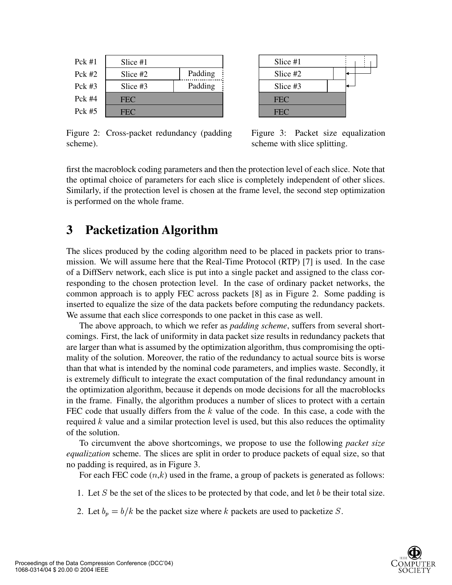| $Pck \#1$ | Slice #1   |         |
|-----------|------------|---------|
| Pck $#2$  | Slice #2   | Padding |
| $Pck \#3$ | Slice $#3$ | Padding |
| $Pck \#4$ | <b>FEC</b> |         |
| Pck $#5$  | FEC.       |         |

**FEC FEC** Slice #1 Slice #2 Slice #3

Figure 2: Cross-packet redundancy (padding scheme).

Figure 3: Packet size equalization scheme with slice splitting.

first the macroblock coding parameters and then the protection level of each slice. Note that the optimal choice of parameters for each slice is completely independent of other slices. Similarly, if the protection level is chosen at the frame level, the second step optimization is performed on the whole frame.

## **3 Packetization Algorithm**

The slices produced by the coding algorithm need to be placed in packets prior to transmission. We will assume here that the Real-Time Protocol (RTP) [7] is used. In the case of a DiffServ network, each slice is put into a single packet and assigned to the class corresponding to the chosen protection level. In the case of ordinary packet networks, the common approach is to apply FEC across packets [8] as in Figure 2. Some padding is inserted to equalize the size of the data packets before computing the redundancy packets. We assume that each slice corresponds to one packet in this case as well.

The above approach, to which we refer as *padding scheme*, suffers from several shortcomings. First, the lack of uniformity in data packet size results in redundancy packets that are larger than what is assumed by the optimization algorithm, thus compromising the optimality of the solution. Moreover, the ratio of the redundancy to actual source bits is worse than that what is intended by the nominal code parameters, and implies waste. Secondly, it is extremely difficult to integrate the exact computation of the final redundancy amount in the optimization algorithm, because it depends on mode decisions for all the macroblocks in the frame. Finally, the algorithm produces a number of slices to protect with a certain FEC code that usually differs from the  $k$  value of the code. In this case, a code with the required  $k$  value and a similar protection level is used, but this also reduces the optimality of the solution.

To circumvent the above shortcomings, we propose to use the following *packet size equalization* scheme. The slices are split in order to produce packets of equal size, so that no padding is required, as in Figure 3.

For each FEC code  $(n,k)$  used in the frame, a group of packets is generated as follows:

- 1. Let  $S$  be the set of the slices to be protected by that code, and let  $b$  be their total size.
- 2. Let  $b_p = b/k$  be the packet size where k packets are used to packetize S.

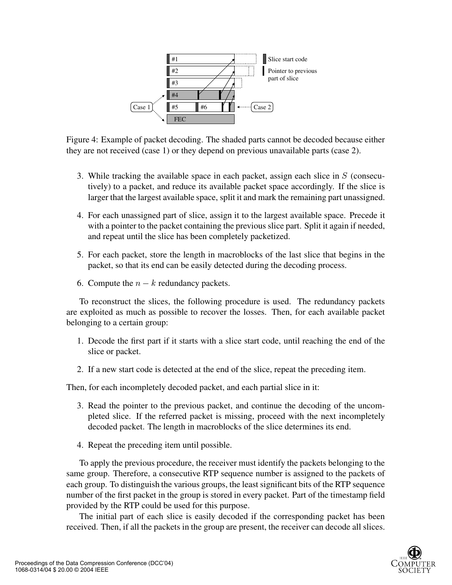

Figure 4: Example of packet decoding. The shaded parts cannot be decoded because either they are not received (case 1) or they depend on previous unavailable parts (case 2).

- 3. While tracking the available space in each packet, assign each slice in (consecutively) to a packet, and reduce its available packet space accordingly. If the slice is larger that the largest available space, split it and mark the remaining part unassigned.
- 4. For each unassigned part of slice, assign it to the largest available space. Precede it with a pointer to the packet containing the previous slice part. Split it again if needed, and repeat until the slice has been completely packetized.
- 5. For each packet, store the length in macroblocks of the last slice that begins in the packet, so that its end can be easily detected during the decoding process.
- 6. Compute the  $n k$  redundancy packets.

To reconstruct the slices, the following procedure is used. The redundancy packets are exploited as much as possible to recover the losses. Then, for each available packet belonging to a certain group:

- 1. Decode the first part if it starts with a slice start code, until reaching the end of the slice or packet.
- 2. If a new start code is detected at the end of the slice, repeat the preceding item.

Then, for each incompletely decoded packet, and each partial slice in it:

- 3. Read the pointer to the previous packet, and continue the decoding of the uncompleted slice. If the referred packet is missing, proceed with the next incompletely decoded packet. The length in macroblocks of the slice determines its end.
- 4. Repeat the preceding item until possible.

To apply the previous procedure, the receiver must identify the packets belonging to the same group. Therefore, a consecutive RTP sequence number is assigned to the packets of each group. To distinguish the various groups, the least significant bits of the RTP sequence number of the first packet in the group is stored in every packet. Part of the timestamp field provided by the RTP could be used for this purpose.

The initial part of each slice is easily decoded if the corresponding packet has been received. Then, if all the packets in the group are present, the receiver can decode all slices.

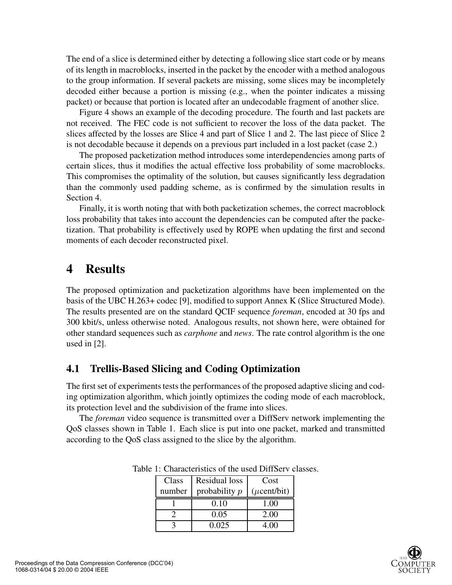The end of a slice is determined either by detecting a following slice start code or by means of its length in macroblocks, inserted in the packet by the encoder with a method analogous to the group information. If several packets are missing, some slices may be incompletely decoded either because a portion is missing (e.g., when the pointer indicates a missing packet) or because that portion is located after an undecodable fragment of another slice.

Figure 4 shows an example of the decoding procedure. The fourth and last packets are not received. The FEC code is not sufficient to recover the loss of the data packet. The slices affected by the losses are Slice 4 and part of Slice 1 and 2. The last piece of Slice 2 is not decodable because it depends on a previous part included in a lost packet (case 2.)

The proposed packetization method introduces some interdependencies among parts of certain slices, thus it modifies the actual effective loss probability of some macroblocks. This compromises the optimality of the solution, but causes significantly less degradation than the commonly used padding scheme, as is confirmed by the simulation results in Section 4.

Finally, it is worth noting that with both packetization schemes, the correct macroblock loss probability that takes into account the dependencies can be computed after the packetization. That probability is effectively used by ROPE when updating the first and second moments of each decoder reconstructed pixel.

#### **4 Results**

The proposed optimization and packetization algorithms have been implemented on the basis of the UBC H.263+ codec [9], modified to support Annex K (Slice Structured Mode). The results presented are on the standard QCIF sequence *foreman*, encoded at 30 fps and 300 kbit/s, unless otherwise noted. Analogous results, not shown here, were obtained for other standard sequences such as *carphone* and *news*. The rate control algorithm is the one used in [2].

#### **4.1 Trellis-Based Slicing and Coding Optimization**

The first set of experiments tests the performances of the proposed adaptive slicing and coding optimization algorithm, which jointly optimizes the coding mode of each macroblock, its protection level and the subdivision of the frame into slices.

The *foreman* video sequence is transmitted over a DiffServ network implementing the QoS classes shown in Table 1. Each slice is put into one packet, marked and transmitted according to the QoS class assigned to the slice by the algorithm.

| Class  | Residual loss   | Cost             |
|--------|-----------------|------------------|
| number | probability $p$ | $(\mu$ cent/bit) |
|        | 0.10            | 1.00             |
|        | 0.05            | 2.00             |
|        | 0.025           | 4.00             |

Table 1: Characteristics of the used DiffServ classes.

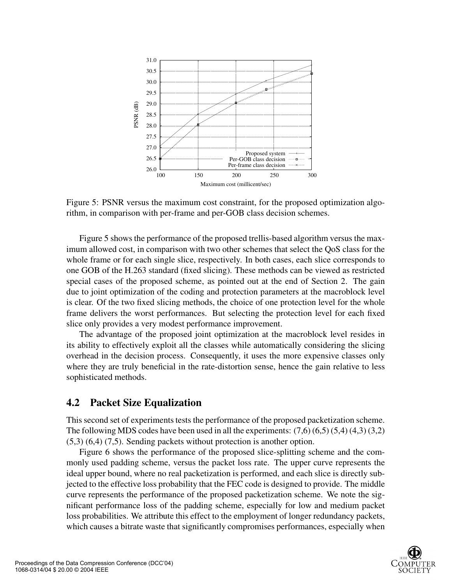

Figure 5: PSNR versus the maximum cost constraint, for the proposed optimization algorithm, in comparison with per-frame and per-GOB class decision schemes.

Figure 5 shows the performance of the proposed trellis-based algorithm versus the maximum allowed cost, in comparison with two other schemes that select the QoS class for the whole frame or for each single slice, respectively. In both cases, each slice corresponds to one GOB of the H.263 standard (fixed slicing). These methods can be viewed as restricted special cases of the proposed scheme, as pointed out at the end of Section 2. The gain due to joint optimization of the coding and protection parameters at the macroblock level is clear. Of the two fixed slicing methods, the choice of one protection level for the whole frame delivers the worst performances. But selecting the protection level for each fixed slice only provides a very modest performance improvement.

The advantage of the proposed joint optimization at the macroblock level resides in its ability to effectively exploit all the classes while automatically considering the slicing overhead in the decision process. Consequently, it uses the more expensive classes only where they are truly beneficial in the rate-distortion sense, hence the gain relative to less sophisticated methods.

#### **4.2 Packet Size Equalization**

This second set of experiments tests the performance of the proposed packetization scheme. The following MDS codes have been used in all the experiments:  $(7,6)$   $(6,5)$   $(5,4)$   $(4,3)$   $(3,2)$ (5,3) (6,4) (7,5). Sending packets without protection is another option.

Figure 6 shows the performance of the proposed slice-splitting scheme and the commonly used padding scheme, versus the packet loss rate. The upper curve represents the ideal upper bound, where no real packetization is performed, and each slice is directly subjected to the effective loss probability that the FEC code is designed to provide. The middle curve represents the performance of the proposed packetization scheme. We note the significant performance loss of the padding scheme, especially for low and medium packet loss probabilities. We attribute this effect to the employment of longer redundancy packets, which causes a bitrate waste that significantly compromises performances, especially when

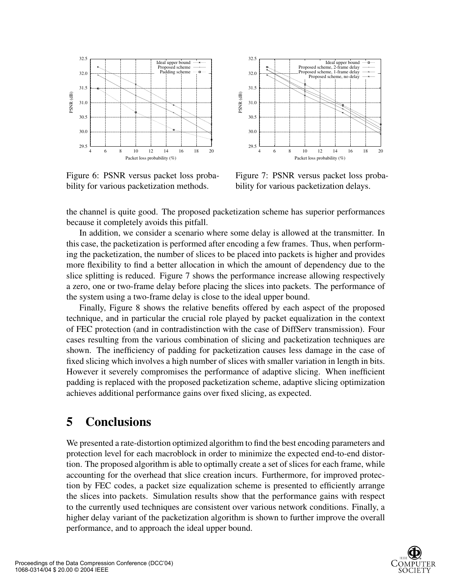

Figure 6: PSNR versus packet loss probability for various packetization methods.



Figure 7: PSNR versus packet loss probability for various packetization delays.

the channel is quite good. The proposed packetization scheme has superior performances because it completely avoids this pitfall.

In addition, we consider a scenario where some delay is allowed at the transmitter. In this case, the packetization is performed after encoding a few frames. Thus, when performing the packetization, the number of slices to be placed into packets is higher and provides more flexibility to find a better allocation in which the amount of dependency due to the slice splitting is reduced. Figure 7 shows the performance increase allowing respectively a zero, one or two-frame delay before placing the slices into packets. The performance of the system using a two-frame delay is close to the ideal upper bound.

Finally, Figure 8 shows the relative benefits offered by each aspect of the proposed technique, and in particular the crucial role played by packet equalization in the context of FEC protection (and in contradistinction with the case of DiffServ transmission). Four cases resulting from the various combination of slicing and packetization techniques are shown. The inefficiency of padding for packetization causes less damage in the case of fixed slicing which involves a high number of slices with smaller variation in length in bits. However it severely compromises the performance of adaptive slicing. When inefficient padding is replaced with the proposed packetization scheme, adaptive slicing optimization achieves additional performance gains over fixed slicing, as expected.

#### **5 Conclusions**

We presented a rate-distortion optimized algorithm to find the best encoding parameters and protection level for each macroblock in order to minimize the expected end-to-end distortion. The proposed algorithm is able to optimally create a set of slices for each frame, while accounting for the overhead that slice creation incurs. Furthermore, for improved protection by FEC codes, a packet size equalization scheme is presented to efficiently arrange the slices into packets. Simulation results show that the performance gains with respect to the currently used techniques are consistent over various network conditions. Finally, a higher delay variant of the packetization algorithm is shown to further improve the overall performance, and to approach the ideal upper bound.